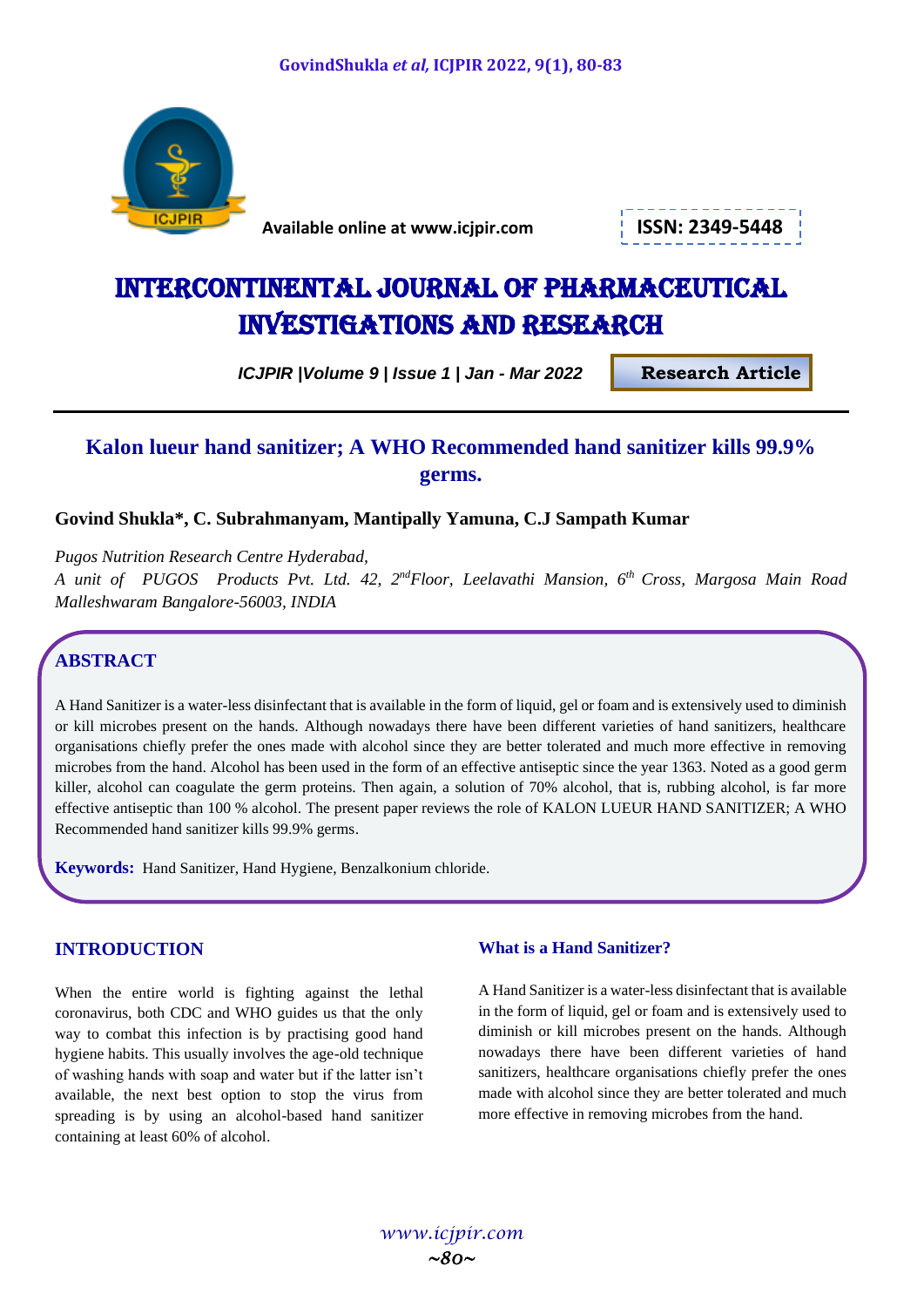

 **Available online at www.icjpir.com ISSN: 2349-5448**



# Intercontinental journal of pharmaceutical Investigations and Research

 *ICJPIR |Volume 9 | Issue 1 | Jan - Mar <sup>2022</sup>* **Research Article**

# **Kalon lueur hand sanitizer; A WHO Recommended hand sanitizer kills 99.9% germs.**

**Govind Shukla\*, C. Subrahmanyam, Mantipally Yamuna, C.J Sampath Kumar**

*Pugos Nutrition Research Centre Hyderabad,* 

*A unit of PUGOS Products Pvt. Ltd. 42, 2ndFloor, Leelavathi Mansion, 6th Cross, Margosa Main Road Malleshwaram Bangalore-56003, INDIA* 

# **ABSTRACT**

A Hand Sanitizer is a water-less disinfectant that is available in the form of liquid, gel or foam and is extensively used to diminish or kill microbes present on the hands. Although nowadays there have been different varieties of hand sanitizers, healthcare organisations chiefly prefer the ones made with alcohol since they are better tolerated and much more effective in removing microbes from the hand. Alcohol has been used in the form of an effective antiseptic since the year 1363. Noted as a good germ killer, alcohol can coagulate the germ proteins. Then again, a solution of 70% alcohol, that is, rubbing alcohol, is far more effective antiseptic than 100 % alcohol. The present paper reviews the role of KALON LUEUR HAND SANITIZER; A WHO Recommended hand sanitizer kills 99.9% germs.

**Keywords:** Hand Sanitizer, Hand Hygiene, Benzalkonium chloride.

# **INTRODUCTION**

When the entire world is fighting against the lethal coronavirus, both CDC and WHO guides us that the only way to combat this infection is by practising good hand hygiene habits. This usually involves the age-old technique of washing hands with soap and water but if the latter isn't available, the next best option to stop the virus from spreading is by using an alcohol-based hand sanitizer containing at least 60% of alcohol.

# **What is a Hand Sanitizer?**

A Hand Sanitizer is a water-less disinfectant that is available in the form of liquid, gel or foam and is extensively used to diminish or kill microbes present on the hands. Although nowadays there have been different varieties of hand sanitizers, healthcare organisations chiefly prefer the ones made with alcohol since they are better tolerated and much more effective in removing microbes from the hand.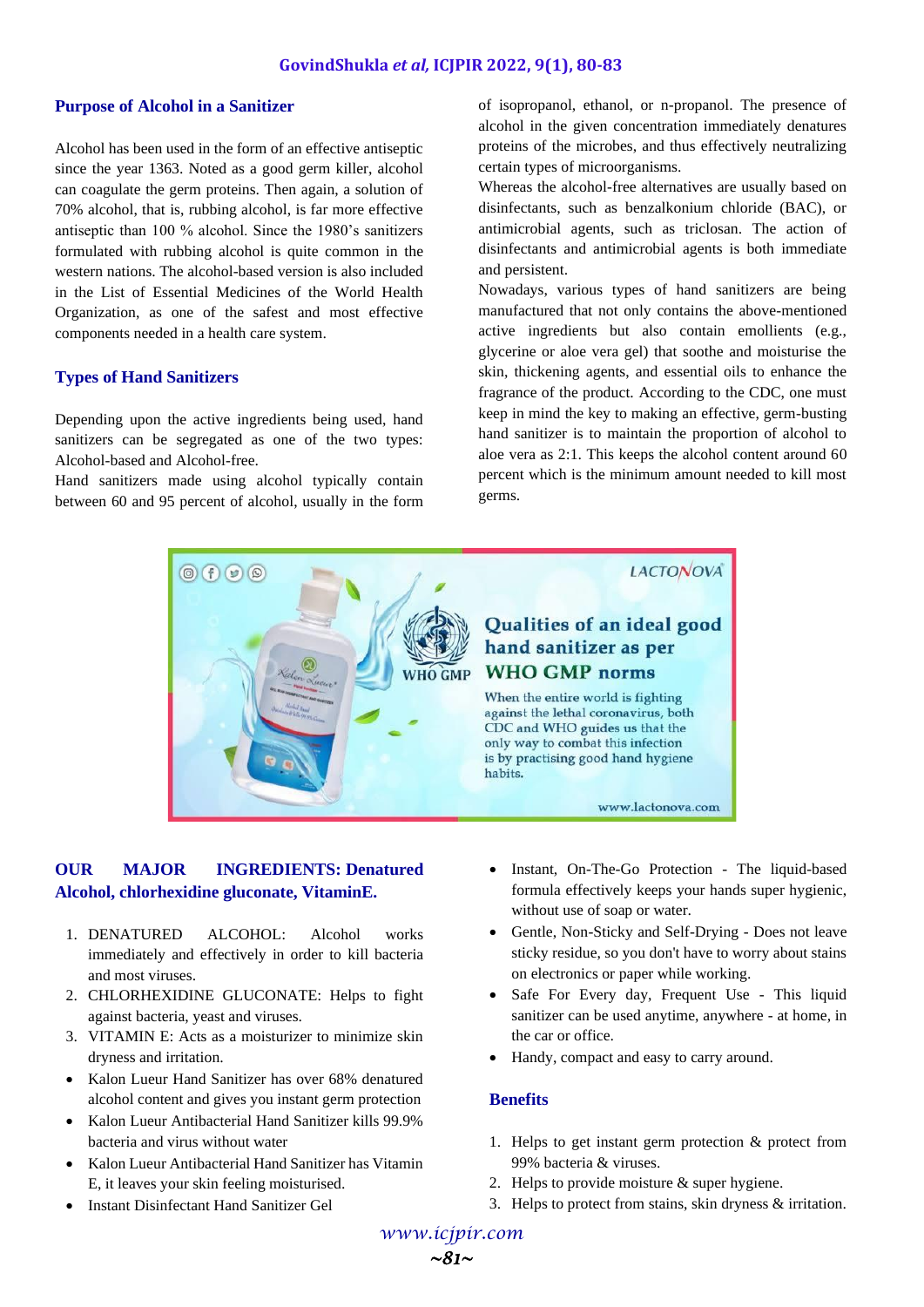#### **Purpose of Alcohol in a Sanitizer**

Alcohol has been used in the form of an effective antiseptic since the year 1363. Noted as a good germ killer, alcohol can coagulate the germ proteins. Then again, a solution of 70% alcohol, that is, rubbing alcohol, is far more effective antiseptic than 100 % alcohol. Since the 1980's sanitizers formulated with rubbing alcohol is quite common in the western nations. The alcohol-based version is also included in the List of Essential Medicines of the World Health Organization, as one of the safest and most effective components needed in a health care system.

#### **Types of Hand Sanitizers**

Depending upon the active ingredients being used, hand sanitizers can be segregated as one of the two types: Alcohol-based and Alcohol-free.

Hand sanitizers made using alcohol typically contain between 60 and 95 percent of alcohol, usually in the form of isopropanol, ethanol, or n-propanol. The presence of alcohol in the given concentration immediately denatures proteins of the microbes, and thus effectively neutralizing certain types of microorganisms.

Whereas the alcohol-free alternatives are usually based on disinfectants, such as benzalkonium chloride (BAC), or antimicrobial agents, such as triclosan. The action of disinfectants and antimicrobial agents is both immediate and persistent.

Nowadays, various types of hand sanitizers are being manufactured that not only contains the above-mentioned active ingredients but also contain emollients (e.g., glycerine or aloe vera gel) that soothe and moisturise the skin, thickening agents, and essential oils to enhance the fragrance of the product. According to the CDC, one must keep in mind the key to making an effective, germ-busting hand sanitizer is to maintain the proportion of alcohol to aloe vera as 2:1. This keeps the alcohol content around 60 percent which is the minimum amount needed to kill most germs.



### **OUR MAJOR INGREDIENTS: Denatured Alcohol, chlorhexidine gluconate, VitaminE.**

- 1. DENATURED ALCOHOL: Alcohol works immediately and effectively in order to kill bacteria and most viruses.
- 2. CHLORHEXIDINE GLUCONATE: Helps to fight against bacteria, yeast and viruses.
- 3. VITAMIN E: Acts as a moisturizer to minimize skin dryness and irritation.
- Kalon Lueur Hand Sanitizer has over 68% denatured alcohol content and gives you instant germ protection
- Kalon Lueur Antibacterial Hand Sanitizer kills 99.9% bacteria and virus without water
- Kalon Lueur Antibacterial Hand Sanitizer has Vitamin E, it leaves your skin feeling moisturised.
- Instant Disinfectant Hand Sanitizer Gel
- Instant, On-The-Go Protection The liquid-based formula effectively keeps your hands super hygienic, without use of soap or water.
- Gentle, Non-Sticky and Self-Drying Does not leave sticky residue, so you don't have to worry about stains on electronics or paper while working.
- Safe For Every day, Frequent Use This liquid sanitizer can be used anytime, anywhere - at home, in the car or office.
- Handy, compact and easy to carry around.

#### **Benefits**

- 1. Helps to get instant germ protection & protect from 99% bacteria & viruses.
- 2. Helps to provide moisture & super hygiene.
- 3. Helps to protect from stains, skin dryness & irritation.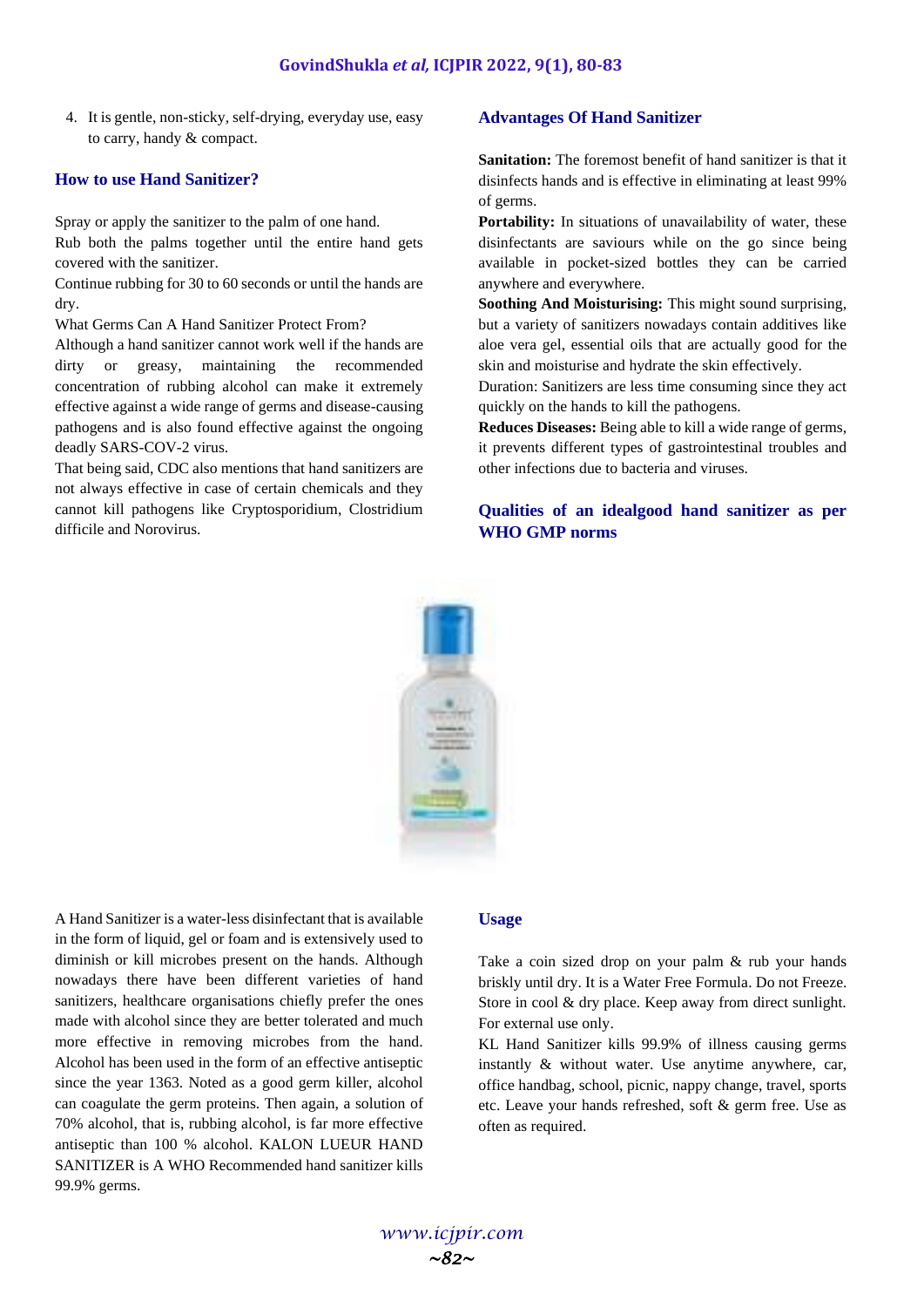4. It is gentle, non-sticky, self-drying, everyday use, easy to carry, handy & compact.

#### **How to use Hand Sanitizer?**

Spray or apply the sanitizer to the palm of one hand. Rub both the palms together until the entire hand gets covered with the sanitizer.

Continue rubbing for 30 to 60 seconds or until the hands are dry.

What Germs Can A Hand Sanitizer Protect From?

Although a hand sanitizer cannot work well if the hands are dirty or greasy, maintaining the recommended concentration of rubbing alcohol can make it extremely effective against a wide range of germs and disease-causing pathogens and is also found effective against the ongoing deadly SARS-COV-2 virus.

That being said, CDC also mentions that hand sanitizers are not always effective in case of certain chemicals and they cannot kill pathogens like Cryptosporidium, Clostridium difficile and Norovirus.

#### **Advantages Of Hand Sanitizer**

**Sanitation:** The foremost benefit of hand sanitizer is that it disinfects hands and is effective in eliminating at least 99% of germs.

Portability: In situations of unavailability of water, these disinfectants are saviours while on the go since being available in pocket-sized bottles they can be carried anywhere and everywhere.

**Soothing And Moisturising:** This might sound surprising, but a variety of sanitizers nowadays contain additives like aloe vera gel, essential oils that are actually good for the skin and moisturise and hydrate the skin effectively.

Duration: Sanitizers are less time consuming since they act quickly on the hands to kill the pathogens.

**Reduces Diseases:** Being able to kill a wide range of germs, it prevents different types of gastrointestinal troubles and other infections due to bacteria and viruses.

# **Qualities of an idealgood hand sanitizer as per WHO GMP norms**



A Hand Sanitizer is a water-less disinfectant that is available in the form of liquid, gel or foam and is extensively used to diminish or kill microbes present on the hands. Although nowadays there have been different varieties of hand sanitizers, healthcare organisations chiefly prefer the ones made with alcohol since they are better tolerated and much more effective in removing microbes from the hand. Alcohol has been used in the form of an effective antiseptic since the year 1363. Noted as a good germ killer, alcohol can coagulate the germ proteins. Then again, a solution of 70% alcohol, that is, rubbing alcohol, is far more effective antiseptic than 100 % alcohol. KALON LUEUR HAND SANITIZER is A WHO Recommended hand sanitizer kills 99.9% germs.

#### **Usage**

Take a coin sized drop on your palm & rub your hands briskly until dry. It is a Water Free Formula. Do not Freeze. Store in cool & dry place. Keep away from direct sunlight. For external use only.

KL Hand Sanitizer kills 99.9% of illness causing germs instantly & without water. Use anytime anywhere, car, office handbag, school, picnic, nappy change, travel, sports etc. Leave your hands refreshed, soft & germ free. Use as often as required.

*www.icjpir.com ~82~*